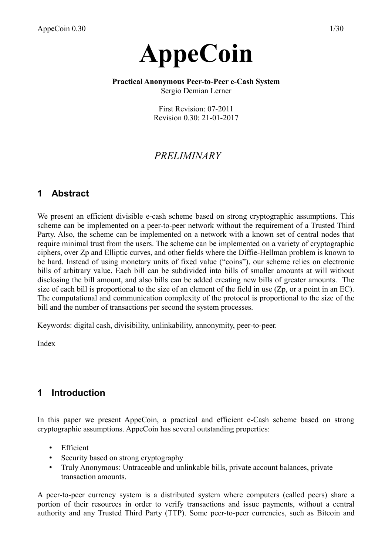# **AppeCoin**

# **Practical Anonymous Peer-to-Peer e-Cash System**

Sergio Demian Lerner

First Revision: 07-2011 Revision 0.30: 21-01-2017

# *PRELIMINARY*

# **1 Abstract**

We present an efficient divisible e-cash scheme based on strong cryptographic assumptions. This scheme can be implemented on a peer-to-peer network without the requirement of a Trusted Third Party. Also, the scheme can be implemented on a network with a known set of central nodes that require minimal trust from the users. The scheme can be implemented on a variety of cryptographic ciphers, over Zp and Elliptic curves, and other fields where the Diffie-Hellman problem is known to be hard. Instead of using monetary units of fixed value ("coins"), our scheme relies on electronic bills of arbitrary value. Each bill can be subdivided into bills of smaller amounts at will without disclosing the bill amount, and also bills can be added creating new bills of greater amounts. The size of each bill is proportional to the size of an element of the field in use  $(Zp)$ , or a point in an EC). The computational and communication complexity of the protocol is proportional to the size of the bill and the number of transactions per second the system processes.

Keywords: digital cash, divisibility, unlinkability, annonymity, peer-to-peer.

Index

# **1 Introduction**

In this paper we present AppeCoin, a practical and efficient e-Cash scheme based on strong cryptographic assumptions. AppeCoin has several outstanding properties:

- Efficient
- Security based on strong cryptography
- Truly Anonymous: Untraceable and unlinkable bills, private account balances, private transaction amounts.

A peer-to-peer currency system is a distributed system where computers (called peers) share a portion of their resources in order to verify transactions and issue payments, without a central authority and any Trusted Third Party (TTP). Some peer-to-peer currencies, such as Bitcoin and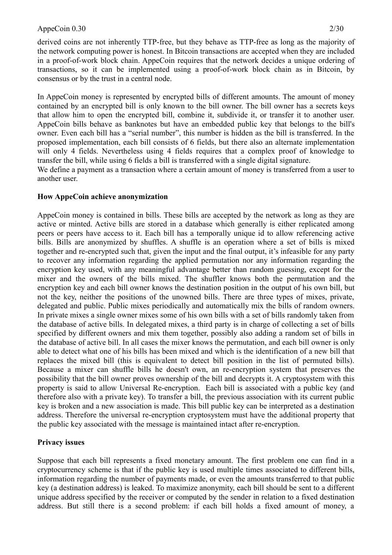derived coins are not inherently TTP-free, but they behave as TTP-free as long as the majority of the network computing power is honest. In Bitcoin transactions are accepted when they are included in a proof-of-work block chain. AppeCoin requires that the network decides a unique ordering of transactions, so it can be implemented using a proof-of-work block chain as in Bitcoin, by consensus or by the trust in a central node.

In AppeCoin money is represented by encrypted bills of different amounts. The amount of money contained by an encrypted bill is only known to the bill owner. The bill owner has a secrets keys that allow him to open the encrypted bill, combine it, subdivide it, or transfer it to another user. AppeCoin bills behave as banknotes but have an embedded public key that belongs to the bill's owner. Even each bill has a "serial number", this number is hidden as the bill is transferred. In the proposed implementation, each bill consists of 6 fields, but there also an alternate implementation will only 4 fields. Nevertheless using 4 fields requires that a complex proof of knowledge to transfer the bill, while using 6 fields a bill is transferred with a single digital signature.

We define a payment as a transaction where a certain amount of money is transferred from a user to another user.

# **How AppeCoin achieve anonymization**

AppeCoin money is contained in bills. These bills are accepted by the network as long as they are active or minted. Active bills are stored in a database which generally is either replicated among peers or peers have access to it. Each bill has a temporally unique id to allow referencing active bills. Bills are anonymized by shuffles. A shuffle is an operation where a set of bills is mixed together and re-encrypted such that, given the input and the final output, it's infeasible for any party to recover any information regarding the applied permutation nor any information regarding the encryption key used, with any meaningful advantage better than random guessing, except for the mixer and the owners of the bills mixed. The shuffler knows both the permutation and the encryption key and each bill owner knows the destination position in the output of his own bill, but not the key, neither the positions of the unowned bills. There are three types of mixes, private, delegated and public. Public mixes periodically and automatically mix the bills of random owners. In private mixes a single owner mixes some of his own bills with a set of bills randomly taken from the database of active bills. In delegated mixes, a third party is in charge of collecting a set of bills specified by different owners and mix them together, possibly also adding a random set of bills in the database of active bill. In all cases the mixer knows the permutation, and each bill owner is only able to detect what one of his bills has been mixed and which is the identification of a new bill that replaces the mixed bill (this is equivalent to detect bill position in the list of permuted bills). Because a mixer can shuffle bills he doesn't own, an re-encryption system that preserves the possibility that the bill owner proves ownership of the bill and decrypts it. A cryptosystem with this property is said to allow Universal Re-encryption. Each bill is associated with a public key (and therefore also with a private key). To transfer a bill, the previous association with its current public key is broken and a new association is made. This bill public key can be interpreted as a destination address. Therefore the universal re-encryption cryptosystem must have the additional property that the public key associated with the message is maintained intact after re-encryption.

# **Privacy issues**

Suppose that each bill represents a fixed monetary amount. The first problem one can find in a cryptocurrency scheme is that if the public key is used multiple times associated to different bills, information regarding the number of payments made, or even the amounts transferred to that public key (a destination address) is leaked. To maximize anonymity, each bill should be sent to a different unique address specified by the receiver or computed by the sender in relation to a fixed destination address. But still there is a second problem: if each bill holds a fixed amount of money, a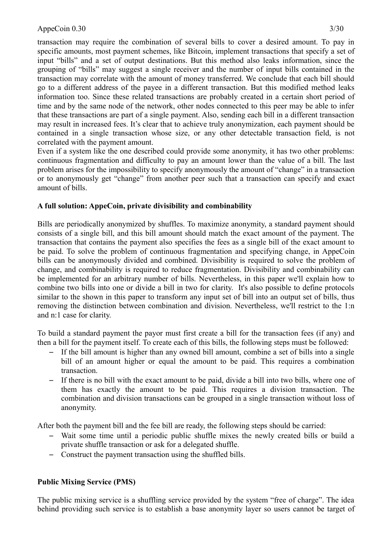transaction may require the combination of several bills to cover a desired amount. To pay in specific amounts, most payment schemes, like Bitcoin, implement transactions that specify a set of input "bills" and a set of output destinations. But this method also leaks information, since the grouping of "bills" may suggest a single receiver and the number of input bills contained in the transaction may correlate with the amount of money transferred. We conclude that each bill should go to a different address of the payee in a different transaction. But this modified method leaks information too. Since these related transactions are probably created in a certain short period of time and by the same node of the network, other nodes connected to this peer may be able to infer that these transactions are part of a single payment. Also, sending each bill in a different transaction may result in increased fees. It's clear that to achieve truly anonymization, each payment should be contained in a single transaction whose size, or any other detectable transaction field, is not correlated with the payment amount.

Even if a system like the one described could provide some anonymity, it has two other problems: continuous fragmentation and difficulty to pay an amount lower than the value of a bill. The last problem arises for the impossibility to specify anonymously the amount of "change" in a transaction or to anonymously get "change" from another peer such that a transaction can specify and exact amount of bills.

# **A full solution: AppeCoin, private divisibility and combinability**

Bills are periodically anonymized by shuffles. To maximize anonymity, a standard payment should consists of a single bill, and this bill amount should match the exact amount of the payment. The transaction that contains the payment also specifies the fees as a single bill of the exact amount to be paid. To solve the problem of continuous fragmentation and specifying change, in AppeCoin bills can be anonymously divided and combined. Divisibility is required to solve the problem of change, and combinability is required to reduce fragmentation. Divisibility and combinability can be implemented for an arbitrary number of bills. Nevertheless, in this paper we'll explain how to combine two bills into one or divide a bill in two for clarity. It's also possible to define protocols similar to the shown in this paper to transform any input set of bill into an output set of bills, thus removing the distinction between combination and division. Nevertheless, we'll restrict to the 1:n and n:1 case for clarity.

To build a standard payment the payor must first create a bill for the transaction fees (if any) and then a bill for the payment itself. To create each of this bills, the following steps must be followed:

- If the bill amount is higher than any owned bill amount, combine a set of bills into a single bill of an amount higher or equal the amount to be paid. This requires a combination transaction.
- If there is no bill with the exact amount to be paid, divide a bill into two bills, where one of them has exactly the amount to be paid. This requires a division transaction. The combination and division transactions can be grouped in a single transaction without loss of anonymity.

After both the payment bill and the fee bill are ready, the following steps should be carried:

- Wait some time until a periodic public shuffle mixes the newly created bills or build a private shuffle transaction or ask for a delegated shuffle.
- Construct the payment transaction using the shuffled bills.

# **Public Mixing Service (PMS)**

The public mixing service is a shuffling service provided by the system "free of charge". The idea behind providing such service is to establish a base anonymity layer so users cannot be target of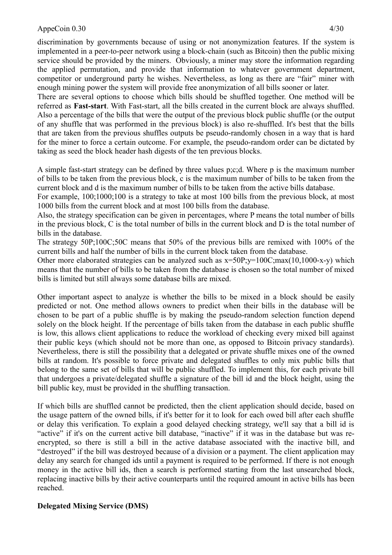discrimination by governments because of using or not anonymization features. If the system is implemented in a peer-to-peer network using a block-chain (such as Bitcoin) then the public mixing service should be provided by the miners. Obviously, a miner may store the information regarding the applied permutation, and provide that information to whatever government department, competitor or underground party he wishes. Nevertheless, as long as there are "fair" miner with enough mining power the system will provide free anonymization of all bills sooner or later.

There are several options to choose which bills should be shuffled together. One method will be referred as **Fast-start**. With Fast-start, all the bills created in the current block are always shuffled. Also a percentage of the bills that were the output of the previous block public shuffle (or the output of any shuffle that was performed in the previous block) is also re-shuffled. It's best that the bills that are taken from the previous shuffles outputs be pseudo-randomly chosen in a way that is hard for the miner to force a certain outcome. For example, the pseudo-random order can be dictated by taking as seed the block header hash digests of the ten previous blocks.

A simple fast-start strategy can be defined by three values p;c;d. Where p is the maximum number of bills to be taken from the previous block, c is the maximum number of bills to be taken from the current block and d is the maximum number of bills to be taken from the active bills database.

For example, 100;1000;100 is a strategy to take at most 100 bills from the previous block, at most 1000 bills from the current block and at most 100 bills from the database.

Also, the strategy specification can be given in percentages, where P means the total number of bills in the previous block, C is the total number of bills in the current block and D is the total number of bills in the database.

The strategy 50P;100C;50C means that 50% of the previous bills are remixed with 100% of the current bills and half the number of bills in the current block taken from the database.

Other more elaborated strategies can be analyzed such as  $x=50P$ ; $y=100C$ ;max(10,1000-x-y) which means that the number of bills to be taken from the database is chosen so the total number of mixed bills is limited but still always some database bills are mixed.

Other important aspect to analyze is whether the bills to be mixed in a block should be easily predicted or not. One method allows owners to predict when their bills in the database will be chosen to be part of a public shuffle is by making the pseudo-random selection function depend solely on the block height. If the percentage of bills taken from the database in each public shuffle is low, this allows client applications to reduce the workload of checking every mixed bill against their public keys (which should not be more than one, as opposed to Bitcoin privacy standards). Nevertheless, there is still the possibility that a delegated or private shuffle mixes one of the owned bills at random. It's possible to force private and delegated shuffles to only mix public bills that belong to the same set of bills that will be public shuffled. To implement this, for each private bill that undergoes a private/delegated shuffle a signature of the bill id and the block height, using the bill public key, must be provided in the shuffling transaction.

If which bills are shuffled cannot be predicted, then the client application should decide, based on the usage pattern of the owned bills, if it's better for it to look for each owed bill after each shuffle or delay this verification. To explain a good delayed checking strategy, we'll say that a bill id is "active" if it's on the current active bill database, "inactive" if it was in the database but was reencrypted, so there is still a bill in the active database associated with the inactive bill, and "destroyed" if the bill was destroyed because of a division or a payment. The client application may delay any search for changed ids until a payment is required to be performed. If there is not enough money in the active bill ids, then a search is performed starting from the last unsearched block, replacing inactive bills by their active counterparts until the required amount in active bills has been reached.

# **Delegated Mixing Service (DMS)**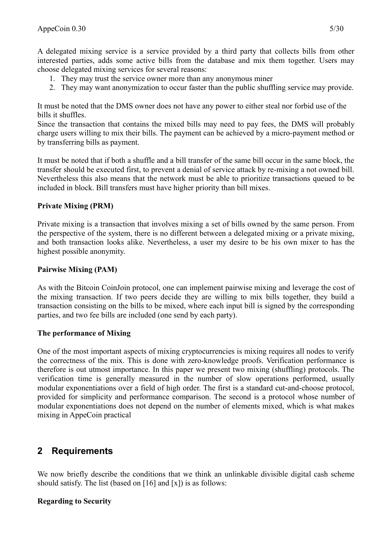A delegated mixing service is a service provided by a third party that collects bills from other interested parties, adds some active bills from the database and mix them together. Users may choose delegated mixing services for several reasons:

- 1. They may trust the service owner more than any anonymous miner
- 2. They may want anonymization to occur faster than the public shuffling service may provide.

It must be noted that the DMS owner does not have any power to either steal nor forbid use of the bills it shuffles.

Since the transaction that contains the mixed bills may need to pay fees, the DMS will probably charge users willing to mix their bills. The payment can be achieved by a micro-payment method or by transferring bills as payment.

It must be noted that if both a shuffle and a bill transfer of the same bill occur in the same block, the transfer should be executed first, to prevent a denial of service attack by re-mixing a not owned bill. Nevertheless this also means that the network must be able to prioritize transactions queued to be included in block. Bill transfers must have higher priority than bill mixes.

# **Private Mixing (PRM)**

Private mixing is a transaction that involves mixing a set of bills owned by the same person. From the perspective of the system, there is no different between a delegated mixing or a private mixing, and both transaction looks alike. Nevertheless, a user my desire to be his own mixer to has the highest possible anonymity.

#### **Pairwise Mixing (PAM)**

As with the Bitcoin CoinJoin protocol, one can implement pairwise mixing and leverage the cost of the mixing transaction. If two peers decide they are willing to mix bills together, they build a transaction consisting on the bills to be mixed, where each input bill is signed by the corresponding parties, and two fee bills are included (one send by each party).

#### **The performance of Mixing**

One of the most important aspects of mixing cryptocurrencies is mixing requires all nodes to verify the correctness of the mix. This is done with zero-knowledge proofs. Verification performance is therefore is out utmost importance. In this paper we present two mixing (shuffling) protocols. The verification time is generally measured in the number of slow operations performed, usually modular exponentiations over a field of high order. The first is a standard cut-and-choose protocol, provided for simplicity and performance comparison. The second is a protocol whose number of modular exponentiations does not depend on the number of elements mixed, which is what makes mixing in AppeCoin practical

# **2 Requirements**

We now briefly describe the conditions that we think an unlinkable divisible digital cash scheme should satisfy. The list (based on [16] and [x]) is as follows:

# **Regarding to Security**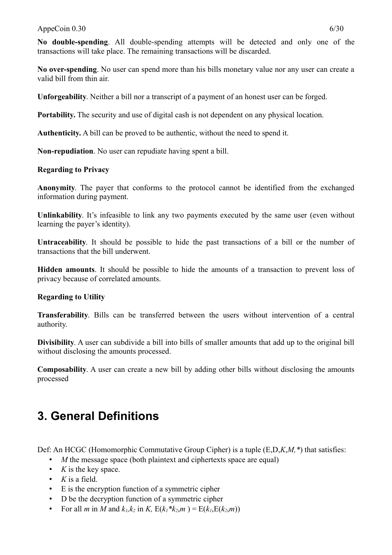#### AppeCoin  $0.30$  6/30

**No double-spending**. All double-spending attempts will be detected and only one of the transactions will take place. The remaining transactions will be discarded.

**No over-spending**. No user can spend more than his bills monetary value nor any user can create a valid bill from thin air.

**Unforgeability**. Neither a bill nor a transcript of a payment of an honest user can be forged.

**Portability.** The security and use of digital cash is not dependent on any physical location.

**Authenticity.** A bill can be proved to be authentic, without the need to spend it.

**Non-repudiation**. No user can repudiate having spent a bill.

#### **Regarding to Privacy**

**Anonymity**. The payer that conforms to the protocol cannot be identified from the exchanged information during payment.

**Unlinkability**. It's infeasible to link any two payments executed by the same user (even without learning the payer's identity).

**Untraceability**. It should be possible to hide the past transactions of a bill or the number of transactions that the bill underwent.

**Hidden amounts**. It should be possible to hide the amounts of a transaction to prevent loss of privacy because of correlated amounts.

#### **Regarding to Utility**

**Transferability**. Bills can be transferred between the users without intervention of a central authority.

**Divisibility**. A user can subdivide a bill into bills of smaller amounts that add up to the original bill without disclosing the amounts processed.

**Composability**. A user can create a new bill by adding other bills without disclosing the amounts processed

# **3. General Definitions**

Def: An HCGC (Homomorphic Commutative Group Cipher) is a tuple (E,D,*K*,*M,\**) that satisfies:

- *M* the message space (both plaintext and ciphertexts space are equal)
- *K* is the key space.
- *K* is a field.
- E is the encryption function of a symmetric cipher
- D be the decryption function of a symmetric cipher
- For all *m* in *M* and  $k_1, k_2$  in *K*,  $E(k_1 * k_2, m) = E(k_1, E(k_2, m))$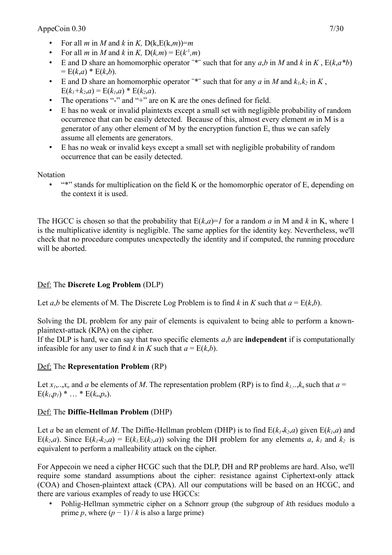- For all *m* in *M* and *k* in *K*,  $D(k,E(k,m))=m$
- For all *m* in *M* and *k* in *K*,  $D(k,m) = E(k<sup>-1</sup>,m)$
- E and D share an homomorphic operator <sup>\*\*</sup> such that for any  $a,b$  in *M* and  $k$  in *K*,  $E(k, a *b)$  $= E(k,a) * E(k,b).$
- E and D share an homomorphic operator "\*" such that for any  $a$  in  $M$  and  $k_1, k_2$  in  $K$ ,  $E(k_1+k_2,a) = E(k_1,a) * E(k_2,a).$
- The operations "-" and "+" are on K are the ones defined for field.
- E has no weak or invalid plaintexts except a small set with negligible probability of random occurrence that can be easily detected. Because of this, almost every element *m* in M is a generator of any other element of M by the encryption function E, thus we can safely assume all elements are generators.
- E has no weak or invalid keys except a small set with negligible probability of random occurrence that can be easily detected.

Notation

• "\*" stands for multiplication on the field K or the homomorphic operator of E, depending on the context it is used.

The HGCC is chosen so that the probability that  $E(k,a)=1$  for a random *a* in M and *k* in K, where 1 is the multiplicative identity is negligible. The same applies for the identity key. Nevertheless, we'll check that no procedure computes unexpectedly the identity and if computed, the running procedure will be aborted.

# Def: The **Discrete Log Problem** (DLP)

Let *a*,*b* be elements of M. The Discrete Log Problem is to find *k* in *K* such that  $a = E(k,b)$ .

Solving the DL problem for any pair of elements is equivalent to being able to perform a knownplaintext-attack (KPA) on the cipher.

If the DLP is hard, we can say that two specific elements  $a,b$  are **independent** if is computationally infeasible for any user to find *k* in *K* such that  $a = E(k, b)$ .

# Def: The **Representation Problem** (RP)

Let  $x_1, \ldots, x_n$  and *a* be elements of *M*. The representation problem (RP) is to find  $k_1, \ldots, k_n$  such that  $a =$  $E(k_l, p_l) * ... * E(k_n, p_n).$ 

# Def: The **Diffie-Hellman Problem** (DHP)

Let *a* be an element of *M*. The Diffie-Hellman problem (DHP) is to find  $E(k_{1},k_{2},a)$  given  $E(k_{1},a)$  and  $E(k_2, a)$ . Since  $E(k_1 * k_2, a) = E(k_1 E(k_2, a))$  solving the DH problem for any elements *a*,  $k_1$  and  $k_2$  is equivalent to perform a malleability attack on the cipher.

For Appecoin we need a cipher HCGC such that the DLP, DH and RP problems are hard. Also, we'll require some standard assumptions about the cipher: resistance against Ciphertext-only attack (COA) and Chosen-plaintext attack (CPA). All our computations will be based on an HCGC, and there are various examples of ready to use HGCCs:

• Pohlig-Hellman symmetric cipher on a Schnorr group (the subgroup of *k*th residues modulo a prime *p*, where  $(p - 1) / k$  is also a large prime)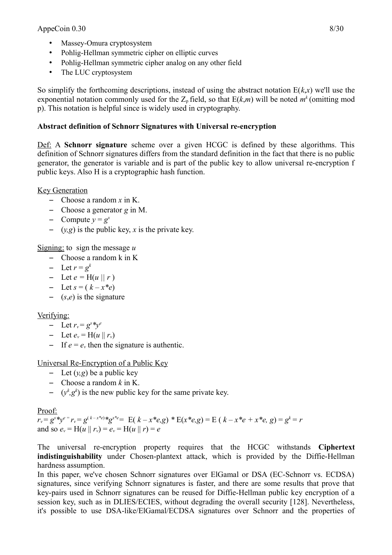- Massey-Omura cryptosystem
- Pohlig-Hellman symmetric cipher on elliptic curves
- Pohlig-Hellman symmetric cipher analog on any other field
- The LUC cryptosystem

So simplify the forthcoming descriptions, instead of using the abstract notation  $E(k, x)$  we'll use the exponential notation commonly used for the  $Z_p$  field, so that  $E(k,m)$  will be noted  $m^k$  (omitting mod p). This notation is helpful since is widely used in cryptography.

# **Abstract definition of Schnorr Signatures with Universal re-encryption**

Def: A **Schnorr signature** scheme over a given HCGC is defined by these algorithms. This definition of Schnorr signatures differs from the standard definition in the fact that there is no public generator, the generator is variable and is part of the public key to allow universal re-encryption f public keys. Also H is a cryptographic hash function.

Key Generation

- Choose a random *x* in K.
- Choose a generator *g* in M.
- $\hbox{-}$  Compute  $y = g^x$
- $(y, g)$  is the public key, *x* is the private key.

Signing: to sign the message *u*

- Choose a random k in K
- $-$  Let  $r = g^k$
- Let  $e = H(u || r)$
- $-$  Let  $s = (k x^*e)$
- (*s*,*e*) is the signature

# Verifying:

- $-$  Let  $r_v = g^s * y^e$
- $-$  Let  $e_v = H(u \,|| \, r_v)$
- If  $e = e_v$  then the signature is authentic.

Universal Re-Encryption of a Public Key

- Let  $(y, g)$  be a public key
- Choose a random *k* in K.
- $(y^k, g^k)$  is the new public key for the same private key.

# Proof:

 $r_v = g^s * y^e = r_v = g^{(k-x^*e)} * g^{x^*e} = E(k-x^*e,g) * E(x^*e,g) = E(k-x^*e + x^*e, g) = g^k = r$ and so  $e_v = H(u \,||\, r_v) = e_v = H(u \,||\, r) = e$ 

The universal re-encryption property requires that the HCGC withstands **Ciphertext indistinguishability** under Chosen-plantext attack, which is provided by the Diffie-Hellman hardness assumption.

In this paper, we've chosen Schnorr signatures over ElGamal or DSA (EC-Schnorr vs. ECDSA) signatures, since verifying Schnorr signatures is faster, and there are some results that prove that key-pairs used in Schnorr signatures can be reused for Diffie-Hellman public key encryption of a session key, such as in DLIES/ECIES, without degrading the overall security [128]. Nevertheless, it's possible to use DSA-like/ElGamal/ECDSA signatures over Schnorr and the properties of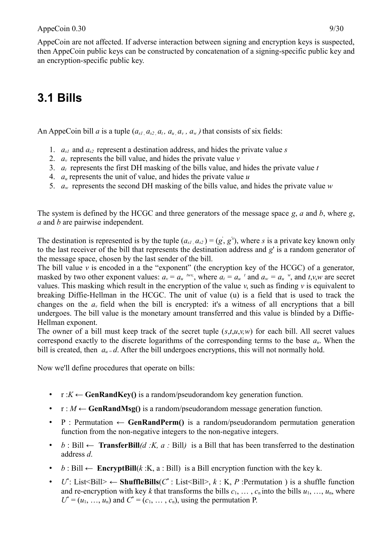an encryption-specific public key.

# **3.1 Bills**

An AppeCoin bill *a* is a tuple  $(a_{s1}, a_{s2}, a_t, a_u, a_v, a_w)$  that consists of six fields:

- 1.  $a_{s1}$  and  $a_{s2}$  represent a destination address, and hides the private value *s*
- 2.  $a<sub>v</sub>$  represents the bill value, and hides the private value  $v$
- 3. *at* represents the first DH masking of the bills value, and hides the private value *t*
- 4. *au* represents the unit of value, and hides the private value *u*
- 5. *aw* represents the second DH masking of the bills value, and hides the private value *w*

The system is defined by the HCGC and three generators of the message space *g*, *a* and *b*, where *g*, *a* and *b* are pairwise independent.

The destination is represented is by the tuple  $(a_{s1}, a_{s2}) = (g, g')$ , where *s* is a private key known only to the last receiver of the bill that represents the destination address and *g*' is a random generator of the message space, chosen by the last sender of the bill.

The bill value  $\nu$  is encoded in a the "exponent" (the encryption key of the HCGC) of a generator, masked by two other exponent values:  $a_v = a_u^{w_v}$ , where  $a_t = a_u^t$  and  $a_w = a_u^w$ , and  $t, v, w$  are secret values. This masking which result in the encryption of the value *v*, such as finding *v* is equivalent to breaking Diffie-Hellman in the HCGC. The unit of value (u) is a field that is used to track the changes on the  $a<sub>v</sub>$  field when the bill is encrypted: it's a witness of all encryptions that a bill undergoes. The bill value is the monetary amount transferred and this value is blinded by a Diffie-Hellman exponent.

The owner of a bill must keep track of the secret tuple (*s*,*t*,*u*,*v,w*) for each bill. All secret values correspond exactly to the discrete logarithms of the corresponding terms to the base  $a<sub>u</sub>$ . When the bill is created, then  $a_u = d$ . After the bill undergoes encryptions, this will not normally hold.

Now we'll define procedures that operate on bills:

- $r: K \leftarrow$  **GenRandKey()** is a random/pseudorandom key generation function.
- $r : M \leftarrow$  **GenRandMsg()** is a random/pseudorandom message generation function.
- P : Permutation ← **GenRandPerm()** is a random/pseudorandom permutation generation function from the non-negative integers to the non-negative integers.
- *b* : Bill *←* **TransferBill***(d :K, a :* Bill*)* is a Bill that has been transferred to the destination address *d*.
- *b* : Bill  $\leftarrow$  **EncryptBill**(*k* : K, a : Bill) is a Bill encryption function with the key k.
- *U*<sup>\*</sup>: List<Bill> ← **ShuffleBills**(*C*<sup>\*</sup>: List<Bill>, *k* : K, *P* :Permutation ) is a shuffle function and re-encryption with key *k* that transforms the bills  $c_1, \ldots, c_n$  into the bills  $u_1, \ldots, u_n$ , where  $U^* = (u_1, \ldots, u_n)$  and  $C^* = (c_1, \ldots, c_n)$ , using the permutation P.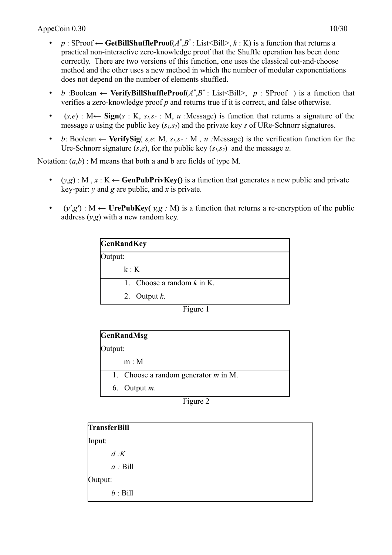- *p* : SProof  $\leftarrow$  **GetBillShuffleProof**( $A^*$ , $B^*$ : List<Bill>,  $k$  : K) is a function that returns a practical non-interactive zero-knowledge proof that the Shuffle operation has been done correctly. There are two versions of this function, one uses the classical cut-and-choose method and the other uses a new method in which the number of modular exponentiations does not depend on the number of elements shuffled.
- *b*:Boolean ← **VerifyBillShuffleProof** $(A^*,B^*:$  List<Bill>,  $p:$  SProof ) is a function that verifies a zero-knowledge proof *p* and returns true if it is correct, and false otherwise.
- (*s,e*) : M← **Sign**(*s* : K, *s1,s<sup>2</sup>* : M, *u* :Message) is function that returns a signature of the message *u* using the public key (*s1,s2*) and the private key *s* of URe-Schnorr signatures.
- *b*: Boolean  $\leftarrow$  **VerifySig**(*s,e*: M,  $s_1, s_2$  : M, *u* : Message) is the verification function for the Ure-Schnorr signature  $(s,e)$ , for the public key  $(s<sub>i</sub>,s<sub>2</sub>)$  and the message *u*.

Notation:  $(a,b)$ : M means that both a and b are fields of type M.

- $(y,g)$ : M,  $x: K \leftarrow$  **GenPubPrivKey()** is a function that generates a new public and private key-pair: *y* and *g* are public, and *x* is private.
- $(y', g') : M \leftarrow U$ **rePubKey(**  $y, g : M$ ) is a function that returns a re-encryption of the public address  $(y, g)$  with a new random key.

| <b>GenRandKey</b> |                              |  |
|-------------------|------------------------------|--|
| Output:           |                              |  |
| k:K               |                              |  |
|                   | 1. Choose a random $k$ in K. |  |
|                   | 2. Output $k$ .              |  |

Figure 1

| <b>GenRandMsg</b> |                                        |  |
|-------------------|----------------------------------------|--|
| Output:           |                                        |  |
|                   | m: M                                   |  |
|                   | 1. Choose a random generator $m$ in M. |  |
|                   | 6. Output $m$ .                        |  |

Figure 2

| <b>TransferBill</b> |  |
|---------------------|--|
| Input:              |  |
| d:K                 |  |
| $a:$ Bill           |  |
| Output:             |  |
| $b:$ Bill           |  |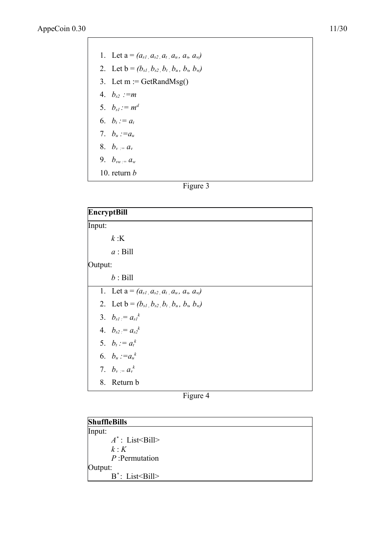| 1. Let $a = (a_{s1}, a_{s2}, a_{t}, a_{u}, a_{v}, a_{w})$ |
|-----------------------------------------------------------|
| 2. Let $b = (b_{s1}, b_{s2}, b_t, b_u, b_v, b_w)$         |
| 3. Let $m := \text{GetRandMsg}()$                         |
| 4. $b_{s2} := m$                                          |
| 5. $b_{s} = m^d$                                          |
| 6. $b_t := a_t$                                           |
| 7. $b_u := a_u$                                           |
| 8. $b_v = a_v$                                            |
| 9. $b_{vw} = a_w$                                         |
| 10 return $h$                                             |

```
Figure 3
```

| <b>EncryptBill</b> |                                                   |  |
|--------------------|---------------------------------------------------|--|
| Input:             |                                                   |  |
|                    | k:K                                               |  |
|                    | $a:$ Bill                                         |  |
| Output:            |                                                   |  |
|                    | $b:$ Bill                                         |  |
|                    | 1. Let $a = (a_{s1}, a_{s2}, a_t, a_u, a_w, a_w)$ |  |
|                    | 2. Let $b = (b_{s1}, b_{s2}, b_t, b_u, b_v, b_w)$ |  |
|                    | 3. $b_{s} = a_{s}^{k}$                            |  |
|                    | 4. $b_{s2} = a_{s2}^k$                            |  |
|                    | 5. $b_t := a_t^k$                                 |  |
|                    | 6. $b_u := a_u^k$                                 |  |
|                    | 7. $b_v = a_v^k$                                  |  |
|                    | 8. Return b                                       |  |



| <b>ShuffleBills</b>          |  |
|------------------------------|--|
| Input:                       |  |
| $A^*$ : List < Bill >        |  |
| k:K                          |  |
| $P$ : Permutation            |  |
| Output:                      |  |
| $B^*$ : List $\leq$ Bill $>$ |  |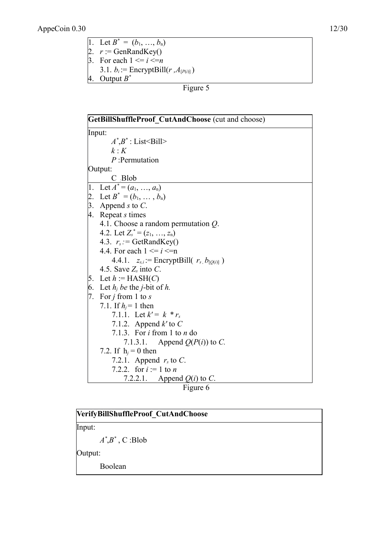- 1. Let  $B^* = (b_1, ..., b_n)$
- 2.  $r := \text{GenRandKey}()$

3. For each  $1 \le i \le n$ 

3.1.  $b_i$ : = EncryptBill( $r$ , $A_{[P(i)]}$ ) 4. Output *B \**

Figure 5

|    | GetBillShuffleProof_CutAndChoose (cut and choose)        |
|----|----------------------------------------------------------|
|    | Input:                                                   |
|    | $A^*$ , $B^*$ : List < Bill >                            |
|    | $k \cdot K$                                              |
|    | $P$ : Permutation                                        |
|    | Output:                                                  |
|    |                                                          |
|    | C Blob<br>1. Let $A^* = (a_1, , a_n)$                    |
|    | 2. Let $B^* = (b_1, \ldots, b_n)$                        |
| 3. | Append $s$ to $C$ .                                      |
|    | 4. Repeat <i>s</i> times                                 |
|    | 4.1. Choose a random permutation $Q$ .                   |
|    | 4.2. Let $Z_s^* = (z_1, \ldots, z_n)$                    |
|    | 4.3. $r_s$ : = GetRandKey()                              |
|    | 4.4. For each $1 \le i \le n$                            |
|    | 4.4.1. $z_{s,i}$ : = EncryptBill( $r_s$ , $b_{[Q(i)]}$ ) |
|    | 4.5. Save $Z_s$ into C.                                  |
| 5. | Let $h :=$ HASH(C)                                       |
|    | 6. Let $h_i$ be the <i>j</i> -bit of h.                  |
| 7. | For $j$ from 1 to $s$                                    |
|    | 7.1. If $h_i = 1$ then                                   |
|    | 7.1.1. Let $k' = k * r_s$                                |
|    | 7.1.2. Append $k'$ to $C$                                |
|    | 7.1.3. For $i$ from 1 to $n$ do                          |
|    | 7.1.3.1. Append $Q(P(i))$ to C.                          |
|    | 7.2. If $h_i = 0$ then                                   |
|    | 7.2.1. Append $r_s$ to C.                                |
|    | 7.2.2. for $i := 1$ to n                                 |
|    | 7.2.2.1. Append $Q(i)$ to C.                             |



| VerifyBillShuffleProof CutAndChoose |  |
|-------------------------------------|--|
| Input:                              |  |
| $A^*, B^*, C$ :Blob                 |  |
| [Output:                            |  |
| Boolean                             |  |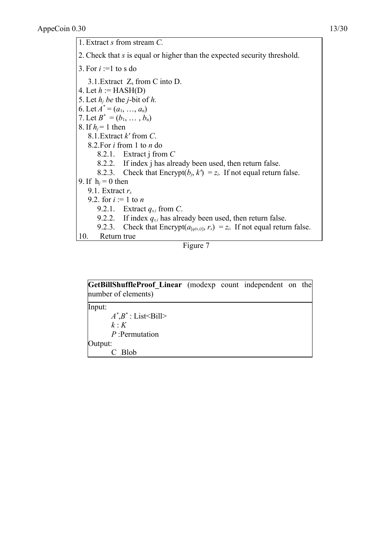1. Extract *s* from stream *C.* 2. Check that *s* is equal or higher than the expected security threshold. 3. For  $i :=1$  to s do 3.1. Extract  $Z_s$  from C into D. 4. Let  $h :=$  HASH(D) 5. Let  $h_i$  *be* the *j*-bit of  $h$ . 6. Let  $A^* = (a_1, ..., a_n)$ 7. Let  $B^* = (b_1, \ldots, b_n)$ 8. If  $h_j = 1$  then 8.1.Extract *k'* from *C*. 8.2.For *i* from 1 to *n* do 8.2.1. Extract j from *C* 8.2.2. If index j has already been used, then return false. 8.2.3. Check that Encrypt( $b_i$ ,  $k'$ ) =  $z_i$ . If not equal return false. 9. If  $h_i = 0$  then 9.1. Extract *r<sup>s</sup>* 9.2. for  $i := 1$  to *n*  9.2.1. Extract *qs,i* from *C*. 9.2.2. If index  $q_{s,i}$  has already been used, then return false. 9.2.3. Check that Encrypt( $a_{[q(s,i)]}, r_s$ ) =  $z_i$ . If not equal return false. 10. Return true

#### Figure 7

| <b>GetBillShuffleProof Linear</b> (modexp count independent on the<br>number of elements) |  |  |  |
|-------------------------------------------------------------------------------------------|--|--|--|
| Input:<br>$A^*$ , $B^*$ : List < Bill ><br>k:K<br>$P$ : Permutation                       |  |  |  |
| Output:<br>$C$ Blob                                                                       |  |  |  |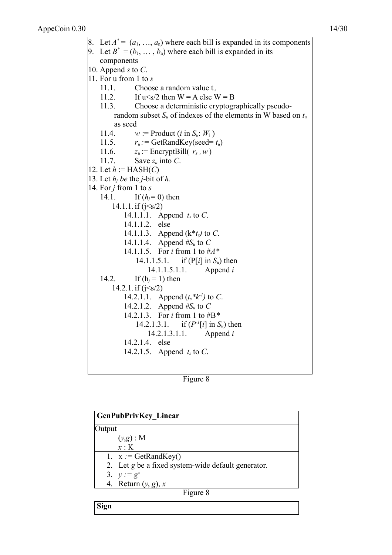8. Let  $A^* = (a_1, \ldots, a_n)$  where each bill is expanded in its components 9. Let  $B^* = (b_1, \ldots, b_n)$  where each bill is expanded in its components 10. Append *s* to *C*. 11. For u from 1 to *s* 11.1. Choose a random value  $t_u$ 11.2. If  $u \le s/2$  then  $W = A$  else  $W = B$ 11.3. Choose a deterministic cryptographically pseudorandom subset  $S_u$  of indexes of the elements in W based on  $t_u$ as seed 11.4.  $w := \text{Product}(i \text{ in } S_u: W_i)$ 11.5.  $r_u := \text{GetRandKey}(\text{seed} = t_u)$ 11.6.  $z_u := \text{EnergyBill}(r_s, w)$ 11.7. Save *zu* into *C*. 12. Let  $h := \text{HASH}(C)$ 13. Let  $h_i$  *be* the *j*-bit of  $h$ . 14. For *j* from 1 to *s* 14.1. If  $(h_i = 0)$  then  $14.1.1$ . if  $(j < s/2)$ 14.1.1.1. Append *ts* to *C*. 14.1.1.2. else 14.1.1.3. Append (k\**ts)* to *C*. 14.1.1.4. Append *#Su* to *C* 14.1.1.5. For *i* from 1 to #*A\** 14.1.1.5.1. if (P[*i*] in *Su*) then 14.1.1.5.1.1. Append *i* 14.2. If  $(h_i = 1)$  then 14.2.1. if  $(j \le s/2)$ 14.2.1.1. Append  $(t_s * k^1)$  to C. 14.2.1.2. Append *#Su* to *C* 14.2.1.3. For *i* from 1 to #B*\** 14.2.1.3.1. *if*  $(P^{-1}[i]$  in  $S_u$ *)* then 14.2.1.3.1.1. Append *i* 14.2.1.4. else 14.2.1.5. Append *ts* to *C*.

Figure 8

|          | <b>GenPubPrivKey Linear</b>                        |  |
|----------|----------------------------------------------------|--|
| utput    |                                                    |  |
|          | $(y,g)$ : M                                        |  |
|          | $x \cdot K$                                        |  |
|          | 1. $x := \text{GetRandKey}()$                      |  |
|          | 2. Let g be a fixed system-wide default generator. |  |
|          | 3. $y := g^x$                                      |  |
|          | 4. Return $(y, g)$ , x                             |  |
| Figure 8 |                                                    |  |

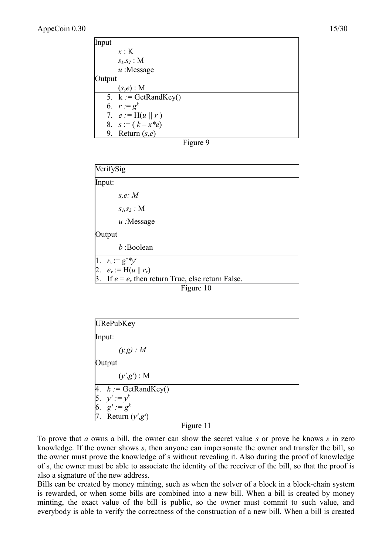| Input  |                               |
|--------|-------------------------------|
|        | x:K                           |
|        | $S_l, S_2$ : M                |
|        | $u$ : Message                 |
| Output |                               |
|        | $(s,e)$ : M                   |
|        | 5. $k := \text{GetRandKey}()$ |
|        | 6. $r := g^k$                 |
|        | 7. $e := H(u    r)$           |
|        | 8. $s := (k - x^*e)$          |
|        | 9. Return $(s,e)$             |

| our |  |
|-----|--|
|-----|--|

| VerifySig                                              |
|--------------------------------------------------------|
| Input:                                                 |
| s.e. M                                                 |
| $S_l, S_2$ : M                                         |
| $u$ : Message                                          |
| Output                                                 |
| $b$ :Boolean                                           |
| 1. $r_v := g^s * y^e$                                  |
| 2. $e_v := H(u    r_v)$                                |
| 3. If $e = e_v$ , then return True, else return False. |
| Figure 10                                              |

| URePubKey                        |  |
|----------------------------------|--|
| Input:                           |  |
| $(y,g)$ : M                      |  |
| Output                           |  |
| (y', g') : M                     |  |
| 4. $k := \text{GetRandKey}()$    |  |
| 5. $y' := y^k$<br>6. $g' := g^k$ |  |
|                                  |  |
| 7. Return $(y', g')$             |  |

#### Figure 11

To prove that *a* owns a bill, the owner can show the secret value *s* or prove he knows *s* in zero knowledge. If the owner shows *s*, then anyone can impersonate the owner and transfer the bill, so the owner must prove the knowledge of s without revealing it. Also during the proof of knowledge of s, the owner must be able to associate the identity of the receiver of the bill, so that the proof is also a signature of the new address.

Bills can be created by money minting, such as when the solver of a block in a block-chain system is rewarded, or when some bills are combined into a new bill. When a bill is created by money minting, the exact value of the bill is public, so the owner must commit to such value, and everybody is able to verify the correctness of the construction of a new bill. When a bill is created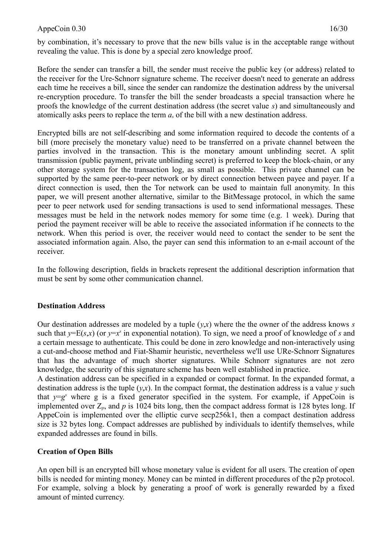by combination, it's necessary to prove that the new bills value is in the acceptable range without revealing the value. This is done by a special zero knowledge proof.

Before the sender can transfer a bill, the sender must receive the public key (or address) related to the receiver for the Ure-Schnorr signature scheme. The receiver doesn't need to generate an address each time he receives a bill, since the sender can randomize the destination address by the universal re-encryption procedure. To transfer the bill the sender broadcasts a special transaction where he proofs the knowledge of the current destination address (the secret value *s*) and simultaneously and atomically asks peers to replace the term *as* of the bill with a new destination address.

Encrypted bills are not self-describing and some information required to decode the contents of a bill (more precisely the monetary value) need to be transferred on a private channel between the parties involved in the transaction. This is the monetary amount unblinding secret. A split transmission (public payment, private unblinding secret) is preferred to keep the block-chain, or any other storage system for the transaction log, as small as possible. This private channel can be supported by the same peer-to-peer network or by direct connection between payee and payer. If a direct connection is used, then the Tor network can be used to maintain full anonymity. In this paper, we will present another alternative, similar to the BitMessage protocol, in which the same peer to peer network used for sending transactions is used to send informational messages. These messages must be held in the network nodes memory for some time (e.g. 1 week). During that period the payment receiver will be able to receive the associated information if he connects to the network. When this period is over, the receiver would need to contact the sender to be sent the associated information again. Also, the payer can send this information to an e-mail account of the receiver.

In the following description, fields in brackets represent the additional description information that must be sent by some other communication channel.

#### **Destination Address**

Our destination addresses are modeled by a tuple (*y*,*x*) where the the owner of the address knows *s* such that  $y=E(s,x)$  (or  $y=x^s$  in exponential notation). To sign, we need a proof of knowledge of *s* and a certain message to authenticate. This could be done in zero knowledge and non-interactively using a cut-and-choose method and Fiat-Shamir heuristic, nevertheless we'll use URe-Schnorr Signatures that has the advantage of much shorter signatures. While Schnorr signatures are not zero knowledge, the security of this signature scheme has been well established in practice.

A destination address can be specified in a expanded or compact format. In the expanded format, a destination address is the tuple  $(y,x)$ . In the compact format, the destination address is a value  $y$  such that  $y = g^s$  where g is a fixed generator specified in the system. For example, if AppeCoin is implemented over  $Z_p$ , and  $p$  is 1024 bits long, then the compact address format is 128 bytes long. If AppeCoin is implemented over the elliptic curve secp256k1, then a compact destination address size is 32 bytes long. Compact addresses are published by individuals to identify themselves, while expanded addresses are found in bills.

#### **Creation of Open Bills**

An open bill is an encrypted bill whose monetary value is evident for all users. The creation of open bills is needed for minting money. Money can be minted in different procedures of the p2p protocol. For example, solving a block by generating a proof of work is generally rewarded by a fixed amount of minted currency.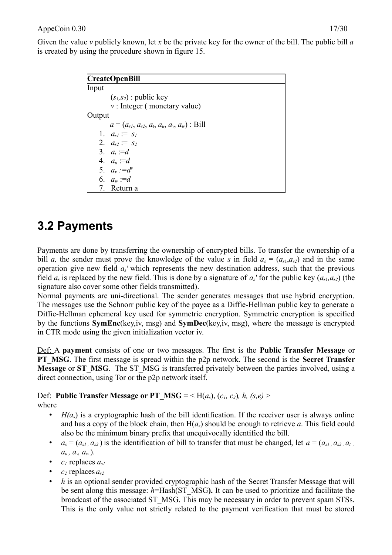Given the value *v* publicly known, let *x* be the private key for the owner of the bill. The public bill *a* is created by using the procedure shown in figure 15.

| <b>CreateOpenBill</b> |                                                   |  |  |
|-----------------------|---------------------------------------------------|--|--|
| Input                 |                                                   |  |  |
|                       | $(s_l,s_2)$ : public key                          |  |  |
|                       | $v:$ Integer (monetary value)                     |  |  |
| Output                |                                                   |  |  |
|                       | $a = (a_{s1}, a_{s2}, a_t, a_u, a_v, a_w)$ : Bill |  |  |
|                       | 1. $a_{sI} := s_I$                                |  |  |
|                       | 2. $a_{s2} := s_2$                                |  |  |
|                       | 3. $a_t := d$                                     |  |  |
|                       | 4. $a_u := d$                                     |  |  |
|                       | 5. $a_v := d^v$                                   |  |  |
|                       | 6. $a_w := d$                                     |  |  |
|                       | 7. Return a                                       |  |  |

# **3.2 Payments**

Payments are done by transferring the ownership of encrypted bills. To transfer the ownership of a bill *a*, the sender must prove the knowledge of the value *s* in field  $a_s = (a_{s1}, a_{s2})$  and in the same operation give new field *as'* which represents the new destination address, such that the previous field  $a_s$  is replaced by the new field. This is done by a signature of  $a_s$ ' for the public key  $(a_{s1}, a_{s2})$  (the signature also cover some other fields transmitted).

Normal payments are uni-directional. The sender generates messages that use hybrid encryption. The messages use the Schnorr public key of the payee as a Diffie-Hellman public key to generate a Diffie-Hellman ephemeral key used for symmetric encryption. Symmetric encryption is specified by the functions **SymEnc**(key,iv, msg) and **SymDec**(key,iv, msg), where the message is encrypted in CTR mode using the given initialization vector iv.

Def: A **payment** consists of one or two messages. The first is the **Public Transfer Message** or **PT\_MSG**. The first message is spread within the p2p network. The second is the **Secret Transfer Message** or **ST\_MSG**. The ST\_MSG is transferred privately between the parties involved, using a direct connection, using Tor or the p2p network itself.

Def: **Public Transfer Message or PT\_MSG =** < H( $a_s$ ), ( $c_1$ ,  $c_2$ )*, h,* ( $s, e$ ) > where

- $H(a<sub>s</sub>)$  is a cryptographic hash of the bill identification. If the receiver user is always online and has a copy of the block chain, then  $H(a_s)$  should be enough to retrieve *a*. This field could also be the minimum binary prefix that unequivocally identified the bill.
- $a_s = (a_{s1}, a_{s2})$  is the identification of bill to transfer that must be changed, let  $a = (a_{s1}, a_{s2}, a_t)$  $a_u, a_v, a_w$ ).
- *c1* replaces *as1*
- $c_2$  replaces  $a_{s2}$
- *h* is an optional sender provided cryptographic hash of the Secret Transfer Message that will be sent along this message: *h*=Hash(ST\_MSG**).** It can be used to prioritize and facilitate the broadcast of the associated ST\_MSG. This may be necessary in order to prevent spam STSs. This is the only value not strictly related to the payment verification that must be stored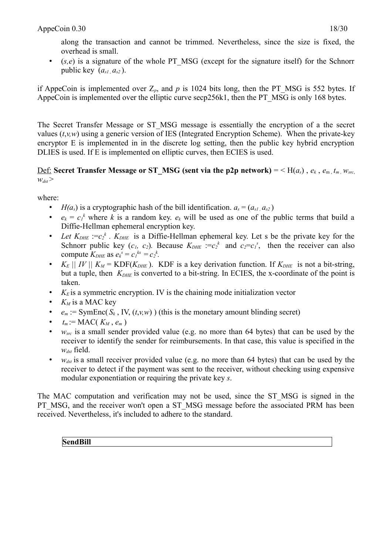along the transaction and cannot be trimmed. Nevertheless, since the size is fixed, the overhead is small.

• (*s,e*) is a signature of the whole PT\_MSG (except for the signature itself) for the Schnorr public key  $(a_{s1}, a_{s2})$ .

if AppeCoin is implemented over  $Z_p$ , and  $p$  is 1024 bits long, then the PT\_MSG is 552 bytes. If AppeCoin is implemented over the elliptic curve secp256k1, then the PT\_MSG is only 168 bytes.

The Secret Transfer Message or ST\_MSG message is essentially the encryption of a the secret values  $(t, v, w)$  using a generic version of IES (Integrated Encryption Scheme). When the private-key encryptor E is implemented in in the discrete log setting, then the public key hybrid encryption DLIES is used. If E is implemented on elliptic curves, then ECIES is used.

<u>Def:</u> **Secret Transfer Message or ST\_MSG (sent via the p2p network) = < H(** $a_s$ **),**  $e_k$ **,**  $e_m$ **,**  $t_m$ **,**  $w_{src}$  $w_{dst}$ 

where:

- *H(a<sub>s</sub>*) is a cryptographic hash of the bill identification.  $a_s = (a_{s1}, a_{s2})$
- $e_k = c_l^k$  where *k* is a random key.  $e_k$  will be used as one of the public terms that build a Diffie-Hellman ephemeral encryption key.
- Let  $K_{DHE} := c_2^k$ .  $K_{DHE}$  is a Diffie-Hellman ephemeral key. Let s be the private key for the Schnorr public key  $(c_1, c_2)$ . Because  $K_{DHE} := c_2^k$  and  $c_2 = c_1^s$ , then the receiver can also compute  $K_{DHE}$  as  $e_k^s = c_1^{ks} = c_2^k$ .
- $K_E \parallel IV \parallel K_M = \text{KDF}(K_{DHE})$ . KDF is a key derivation function. If  $K_{DHE}$  is not a bit-string, but a tuple, then  $K_{DHE}$  is converted to a bit-string. In ECIES, the x-coordinate of the point is taken.
- $K<sub>E</sub>$  is a symmetric encryption. IV is the chaining mode initialization vector
- $K_M$  is a MAC key
- $e_m$  := SymEnc( $S_k$ , IV,  $(t, v, w)$ ) (this is the monetary amount blinding secret)
- $t_m := \text{MAC}(K_M, e_m)$
- $w_{src}$  is a small sender provided value (e.g. no more than 64 bytes) that can be used by the receiver to identify the sender for reimbursements. In that case, this value is specified in the *wdst* field.
- $w_{dst}$  is a small receiver provided value (e.g. no more than 64 bytes) that can be used by the receiver to detect if the payment was sent to the receiver, without checking using expensive modular exponentiation or requiring the private key *s*.

The MAC computation and verification may not be used, since the ST\_MSG is signed in the PT\_MSG, and the receiver won't open a ST\_MSG message before the associated PRM has been received. Nevertheless, it's included to adhere to the standard.

**SendBill**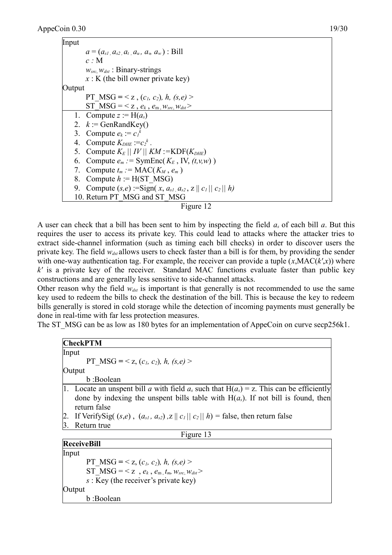



A user can check that a bill has been sent to him by inspecting the field *as* of each bill *a*. But this requires the user to access its private key. This could lead to attacks where the attacker tries to extract side-channel information (such as timing each bill checks) in order to discover users the private key. The field *wdst* allows users to check faster than a bill is for them, by providing the sender with one-way authentication tag. For example, the receiver can provide a tuple  $(x, MAC(k', x))$  where *k'* is a private key of the receiver. Standard MAC functions evaluate faster than public key constructions and are generally less sensitive to side-channel attacks.

Other reason why the field  $w_{dx}$  is important is that generally is not recommended to use the same key used to redeem the bills to check the destination of the bill. This is because the key to redeem bills generally is stored in cold storage while the detection of incoming payments must generally be done in real-time with far less protection measures.

The ST\_MSG can be as low as 180 bytes for an implementation of AppeCoin on curve secp256k1.

| <b>CheckPTM</b>                                                                                                                                                                                      |  |  |
|------------------------------------------------------------------------------------------------------------------------------------------------------------------------------------------------------|--|--|
| Input                                                                                                                                                                                                |  |  |
| PT MSG = < z, $(c_1, c_2)$ , h, $(s, e)$ >                                                                                                                                                           |  |  |
| Output                                                                                                                                                                                               |  |  |
| b:Boolean                                                                                                                                                                                            |  |  |
| 1. Locate an unspent bill a with field $a_s$ such that $H(a_s) = z$ . This can be efficiently<br>done by indexing the unspent bills table with $H(a_s)$ . If not bill is found, then<br>return false |  |  |
| 2. If Verify Sig( $(s,e)$ , $(a_{s1}, a_{s2})$ , $z    c_1    c_2    h$ ) = false, then return false                                                                                                 |  |  |
| Return true                                                                                                                                                                                          |  |  |
| Figure 13                                                                                                                                                                                            |  |  |
| <b>ReceiveBill</b>                                                                                                                                                                                   |  |  |
| Input                                                                                                                                                                                                |  |  |
| PT MSG = < z, $(c_1, c_2)$ , h, $(s, e)$ >                                                                                                                                                           |  |  |
| ST MSG = < z, $e_k$ , $e_m$ , $t_m$ , $w_{src}$ , $w_{dst}$ >                                                                                                                                        |  |  |
| $s$ : Key (the receiver's private key)                                                                                                                                                               |  |  |

Output b :Boolean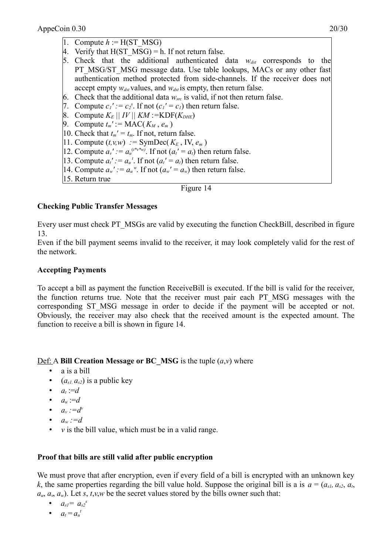- 1. Compute  $h := H(ST \text{ MST}$
- 4. Verify that  $H(ST\text{ }MSG) = h$ . If not return false.
- 5. Check that the additional authenticated data  $w_{dx}$  corresponds to the PT\_MSG/ST\_MSG message data. Use table lookups, MACs or any other fast authentication method protected from side-channels. If the receiver does not accept empty  $w_{dst}$  values, and  $w_{dst}$  is empty, then return false.
- 6. Check that the additional data  $w_{src}$  is valid, if not then return false.
- 7. Compute  $c_1' := c_2^s$ . If not  $(c_1' = c_1)$  then return false.
- 8. Compute  $K_E \parallel IV \parallel KM :=$ KDF( $K_{DHE}$ )
- 9. Compute  $t_m' := \text{MAC}(K_M, e_m)$
- 10. Check that  $t_m' = t_m$ . If not, return false.
- 11. Compute  $(t, v, w) := \text{SymDec}(K_E, \text{IV}, e_m)$
- 12. Compute  $a_v' := a_u^{(t * v * w)}$ . If not  $(a_t' = a_t)$  then return false.
- 13. Compute  $a_t' := a_t^t$ . If not  $(a_t' = a_t)$  then return false.
- 14. Compute  $a_w' := a_w^w$ . If not  $(a_w' = a_w)$  then return false.
- 15. Return true

#### Figure 14

#### **Checking Public Transfer Messages**

Every user must check PT\_MSGs are valid by executing the function CheckBill, described in figure 13.

Even if the bill payment seems invalid to the receiver, it may look completely valid for the rest of the network.

#### **Accepting Payments**

To accept a bill as payment the function ReceiveBill is executed. If the bill is valid for the receiver, the function returns true. Note that the receiver must pair each PT\_MSG messages with the corresponding ST\_MSG message in order to decide if the payment will be accepted or not. Obviously, the receiver may also check that the received amount is the expected amount. The function to receive a bill is shown in figure 14.

Def: A **Bill Creation Message or BC\_MSG** is the tuple  $(a,y)$  where

- a is a bill
- $(a_{s1}, a_{s2})$  is a public key
- $a_t := d$
- $a_u := d$
- $a_v := d^v$
- $a_w := d$
- $v$  is the bill value, which must be in a valid range.

#### **Proof that bills are still valid after public encryption**

We must prove that after encryption, even if every field of a bill is encrypted with an unknown key *k*, the same properties regarding the bill value hold. Suppose the original bill is a is  $a = (a_{s1}, a_{s2}, a_t, a_t)$  $a<sub>u</sub>, a<sub>v</sub>, a<sub>w</sub>$ ). Let *s*, *t*,*v*,*w* be the secret values stored by the bills owner such that:

- $a_{s1} = a_{s2}^s$
- $a_t = a_u^t$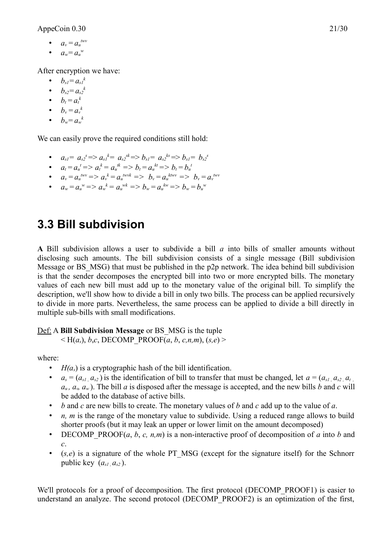- $a_v = a_u^{\text{twv}}$
- $a_w = a_u^w$

After encryption we have:

- $\bullet$   $b_{s} = a_{s}b_{s}$
- $b_{s2} = a_{s2}^k$
- $b_t = a_t^k$
- $b_v = a_v^k$
- $b_w = a_w^k$

We can easily prove the required conditions still hold:

- $a_{s1} = a_{s2}^s \implies a_{s1}^k = a_{s2}^{sk} \implies b_{s1} = a_{s2}^{ks} \implies b_{s1} = b_{s2}^s$
- $a_t = a_t^t = a_t^k = a_t^{tk} = b_t = a_t^{kt} = b_t = b_t^t$
- $a_v = a_u^{t w v} \implies a_v^{k} = a_u^{t w v k} \implies b_v = a_u^{t w v} \implies b_v = a_v^{t w v}$
- $a_w = a_w^w \Rightarrow a_w^k = a_w^{wk} \Rightarrow b_w = a_u^{kw} \Rightarrow b_w = b_w^w$

# **3.3 Bill subdivision**

**A** Bill subdivision allows a user to subdivide a bill *a* into bills of smaller amounts without disclosing such amounts. The bill subdivision consists of a single message (Bill subdivision Message or BS MSG) that must be published in the p2p network. The idea behind bill subdivision is that the sender decomposes the encrypted bill into two or more encrypted bills. The monetary values of each new bill must add up to the monetary value of the original bill. To simplify the description, we'll show how to divide a bill in only two bills. The process can be applied recursively to divide in more parts. Nevertheless, the same process can be applied to divide a bill directly in multiple sub-bills with small modifications.

#### Def: A **Bill Subdivision Message** or BS\_MSG is the tuple

 $\leq H(a_s), b,c, \text{DECOMP PROOF}(a, b, c, n, m), (s, e)$ 

where:

- $H(a<sub>s</sub>)$  is a cryptographic hash of the bill identification.
- $a_s = (a_{s1}, a_{s2})$  is the identification of bill to transfer that must be changed, let  $a = (a_{s1}, a_{s2}, a_t)$  $a<sub>u</sub>$ ,  $a<sub>w</sub>$ ,  $a<sub>w</sub>$ ). The bill *a* is disposed after the message is accepted, and the new bills *b* and *c* will be added to the database of active bills.
- *b* and *c* are new bills to create. The monetary values of *b* and *c* add up to the value of *a*.
- *n, m* is the range of the monetary value to subdivide. Using a reduced range allows to build shorter proofs (but it may leak an upper or lower limit on the amount decomposed)
- DECOMP PROOF( $a, b, c, n, m$ ) is a non-interactive proof of decomposition of  $a$  into  $b$  and *c*.
- (*s,e*) is a signature of the whole PT\_MSG (except for the signature itself) for the Schnorr public key  $(a_{s1}, a_{s2})$ .

We'll protocols for a proof of decomposition. The first protocol (DECOMP\_PROOF1) is easier to understand an analyze. The second protocol (DECOMP\_PROOF2) is an optimization of the first,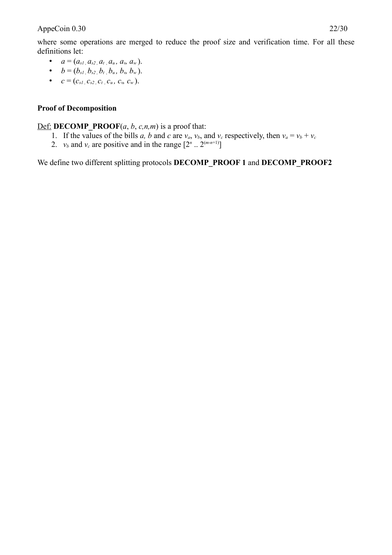where some operations are merged to reduce the proof size and verification time. For all these definitions let:

- $a = (a_{s1}, a_{s2}, a_t, a_u, a_v, a_w).$
- $b = (b_{s1}, b_{s2}, b_t, b_u, b_v, b_w).$
- $c = (c_{s1}, c_{s2}, c_t, c_u, c_v, c_w).$

# **Proof of Decomposition**

#### **Def: DECOMP PROOF**( $a$ ,  $b$ ,  $c$ ,  $n$ , $m$ ) is a proof that:

- 1. If the values of the bills *a*, *b* and *c* are  $v_a$ ,  $v_b$ , and  $v_c$  respectively, then  $v_a = v_b + v_c$
- 2.  $v_b$  and  $v_c$  are positive and in the range  $[2^n \dots 2^{(m-n+1)}]$

We define two different splitting protocols **DECOMP\_PROOF 1** and **DECOMP\_PROOF2**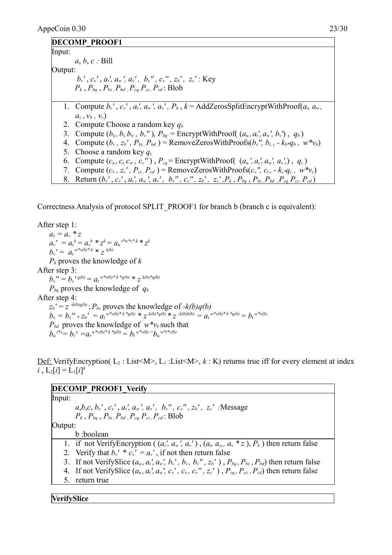#### **DECOMP\_PROOF1**

Input: *a*, *b*, *c :* Bill Output: *bv'* , *cv'* , *at', aw ', av' , bv'' , cv'' , zb' , zc' :* Key  $P_k$ ,  $P_{ba}$ ,  $P_{bz}$ ,  $P_{bd}$ ,  $P_{cq}$ ,  $P_{cz}$ ,  $P_{cd}$ : Blob 1. Compute  $b_v$ ,  $c_v$ ,  $a_v$ ,  $a_w$ ,  $a_w$ ,  $P_k$ ,  $k = \text{AddZerosSplitError}(WithProof(a_i, a_w))$  $a_v, v_h, v_c$ 2. Compute Choose a random key *q<sup>b</sup>* 3. Compute  $(b_u, b_t, b_w, b_v'')$ ,  $P_{ba}$  = EncryptWithProof( $(a_u, a'_t, a_w', b_v')$ ,  $q_b$ ) 4. Compute  $(b_v, z_b', P_{bz}, P_{bd})$  = RemoveZerosWithProofs $(b_v'', b_t, -k_b*q_b, w* v_b)$ 5. Choose a random key *q<sup>c</sup>* 6. Compute  $(c_u, c_t, c_w, c_v)$ ,  $P_{cq}$  = EncryptWithProof( $(a_u', a_t', a_w', a_v')$ ,  $q_c$ ) 7. Compute  $(c_v, z_c', P_{cz}, P_{cd}) =$  RemoveZerosWithProofs $(c_v'', c_t, -k_c * q_c, w * v_c)$ 8. Return  $(b_v', c_v', a_t', a_w', a_v', b_v'', c_v'', z_b', z_c', P_k, P_{bq}, P_{bz}, P_{bd}, P_{cq}, P_{cz}, P_{cd})$ 

Correctness Analysis of protocol SPLIT\_PROOF1 for branch b (branch c is equivalent):

After step 1:  $a_z = a_v * z$  $a_v' = a_z^k = a_v^k * z^k = a_u^{t * w * v * k} * z^k$  $b_v' = a_t^{w * v(b) * k} * z^{k(b)}$ *Pk* proves the knowledge of *k* After step 3:  $b_v' = b_v'$ <sup>*'*</sup> $q(b) = a_t^{w*v(b)*k * q(b) * z}$ <sup>*k*(b)\* $q(b)$ </sup>  $P_{ba}$  proves the knowledge of  $q_b$ After step 4:  $z_b' = z^{-k(b)q(b)}$ ;  $P_{bz}$  proves the knowledge of  $-k(b)q(b)$  $b_v = b_v'' * z_b' = a_t^{v * v(b) * k * q(b)} * z^{k(b) * q(b) * z^{-k(b)k(b)}} = a_t^{v * v(b) * k * q(b)} = b_t^{v * v(b)}$  $P_{bd}$  proves the knowledge of  $w^*v_b$  such that  $b_u^{t^*x} = b_t^{x} = a_t^{w^*v(b)^*k^*q(b)} = b_t^{w^*v(b)} = b_u^{w^*t^*v(b)}$ 

Def: VerifyEncryption( $L_2$ : List<M>, $L_1$ : List<M>,  $k$ : K) returns true iff for every element at index  $i$ ,  $L_2[i] = L_1[i]^k$ 

| <b>DECOMP PROOF1 Verify</b>                                                                                                                                                   |
|-------------------------------------------------------------------------------------------------------------------------------------------------------------------------------|
| Input:                                                                                                                                                                        |
| $a,b,c, b_{v}^{\prime}, c_{v}^{\prime}, a_{t}^{\prime}, a_{w}^{\prime}, a_{v}^{\prime}, b_{v}^{\prime\prime}, c_{v}^{\prime\prime}, z_{b}^{\prime}, z_{c}^{\prime}$ . Message |
| $P_k$ , $P_{ba}$ , $P_{bz}$ , $P_{bd}$ , $P_{ca}$ , $P_{cz}$ , $P_{cd}$ : Blob                                                                                                |
| Output:                                                                                                                                                                       |
| b:boolean                                                                                                                                                                     |
| 1. if not Verify Encryption ( $(a_t, a_w, a_v, a_v)$ , $(a_t, a_w, a_v, a_v, a_v)$ ) then return false                                                                        |
| 2. Verify that $b_v' * c_v' = a_v'$ , if not then return false                                                                                                                |
| 3. If not VerifySlice $(a_u, a_v, a_w, b_v, b_v, b_v, z_b)$ , $P_{ba}, P_{bz}, P_{bd}$ then return false                                                                      |
| 4. If not VerifySlice $(a_u, a_v, a_{v'}, c_{v'}, c_{v}, c_{v''}, z_{c}^{\prime\prime})$ , $P_{ca}$ , $P_{cz}$ , $P_{cd}$ ) then return false                                 |
| return true                                                                                                                                                                   |

**VerifySlice**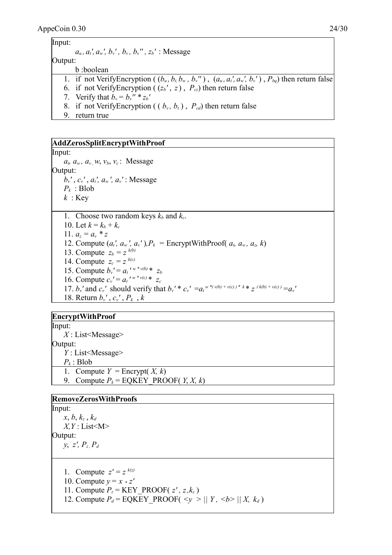| Input:  |                                                                                                                   |
|---------|-------------------------------------------------------------------------------------------------------------------|
|         | $a_u$ , $a_t$ ', $a_w$ ', $b_v$ ', $b_v$ , $b_v$ '', $z_b$ ': Message                                             |
| Output: |                                                                                                                   |
|         | b:boolean                                                                                                         |
|         | 1. if not VerifyEncryption ( $(b_u, b_t, b_w, b_v'')$ ), $(a_u, a_t', a_w', b_v')$ , $P_{bq}$ ) then return false |
|         | 6. if not Verify Encryption ( $(z_b', z)$ , $P_{cz}$ ) then return false                                          |
|         | 7. Verify that $b_v = b_v'' * z_b'$                                                                               |
|         | 8. if not Verify Encryption ( $(b_v, b_t)$ , $P_{cd}$ ) then return false                                         |

9. return true

#### **AddZerosSplitEncryptWithProof**

Input:

 $a_t$ ,  $a_w$ ,  $a_v$ ,  $w$ ,  $v_b$ ,  $v_c$ : Message Output: *bv'* , *cv'* , *at', aw ', av'* : Message  $P_k$  : Blob *k* : Key

1. Choose two random keys  $k_b$  and  $k_c$ . 10. Let  $k = k_b + k_c$ 11.  $a_z = a_y * z$ 12. Compute  $(a_t, a_w, a_v)$ ,  $P_k$  = EncryptWithProof(  $a_t, a_w, a_z, k$ ) 13. Compute  $z_b = z^{k(b)}$ 14. Compute  $z_c = z^{k(c)}$ 15. Compute  $b_v' = a_t' \sqrt[n]{(b)} * z_b$ 16. Compute  $c_v' = a_t' \sqrt[n]{w * v(c)} * z_c$ 17.  $b_v$ ' and  $c_v$ ' should verify that  $b_v$ ' \*  $c_v$ ' = $a_t^{w*(v(b) + v(c))k}$ ' \*  $z^{(k(b) + v(c))} = a_v^{w(k)}$ 18. Return *bv'* , *cv'* , *Pk* , *k*

#### **EncryptWithProof**

Input: *X* : List<Message> Output: *Y* : List<Message>  $P_k$ : Blob 1. Compute  $Y =$  Encrypt $(X, k)$ 9. Compute  $P_k$  = EQKEY\_PROOF( *Y*, *X*, *k*)

| <b>RemoveZerosWithProofs</b>                                                                 |  |
|----------------------------------------------------------------------------------------------|--|
| Input:                                                                                       |  |
| $x, b, k_z, k_d$                                                                             |  |
| $X, Y$ : List $\leq M$                                                                       |  |
| Output:                                                                                      |  |
| $y, z', P_z, P_d$                                                                            |  |
|                                                                                              |  |
| 1. Compute $z' = z^{k(z)}$                                                                   |  |
| 10. Compute $y = x * z'$                                                                     |  |
| 11. Compute $P_z$ = KEY PROOF( $z'$ , $z$ , $k_z$ )                                          |  |
| 12. Compute $P_d$ = EQKEY PROOF( $\langle y \rangle$    Y, $\langle b \rangle$    X, $k_d$ ) |  |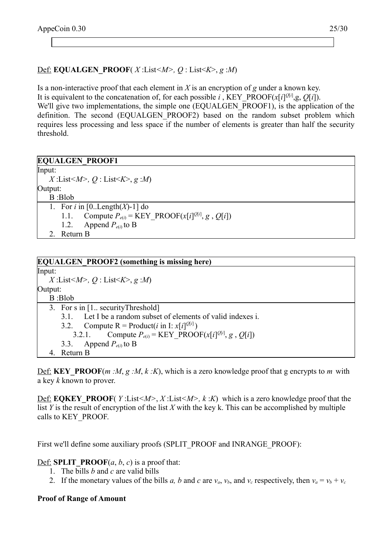# Def: **EQUALGEN** PROOF( *X* :List < *M* >  $Q$  : List < *K* >  $>$ , *g* : *M*)

Is a non-interactive proof that each element in *X* is an encryption of *g* under a known key. It is equivalent to the concatenation of, for each possible *i*, KEY\_PROOF( $x[i]$ <sup>Q[*i*]</sup>,g, *Q*[*i*]). We'll give two implementations, the simple one (EQUALGEN PROOF1), is the application of the definition. The second (EQUALGEN PROOF2) based on the random subset problem which requires less processing and less space if the number of elements is greater than half the security threshold.

| <b>EQUALGEN PROOF1</b>                                                 |
|------------------------------------------------------------------------|
| Input:                                                                 |
| X:List < M > Q: List < K > $g : M$                                     |
| Output:                                                                |
| B:Blob                                                                 |
| 1. For <i>i</i> in $[0Length(X)-1]$ do                                 |
| Compute $P_{e(i)}$ = KEY PROOF(x[i] <sup>Q[i]</sup> , g, Q[i])<br>1.1. |
| 1.2. Append $P_{e(i)}$ to B                                            |
| 2. Return B                                                            |

| <b>EQUALGEN PROOF2</b> (something is missing here)                       |
|--------------------------------------------------------------------------|
| $\mathbf{Input:}$                                                        |
| X:List $\leq M$ , Q:List $\leq K$ , g:M)                                 |
| Output:                                                                  |
| B:Blob                                                                   |
| 3. For s in $[1]$ . security Threshold $]$                               |
| 3.1. Let I be a random subset of elements of valid indexes i.            |
| 3.2. Compute R = Product( <i>i</i> in I: $x[i]^{Q[i]}$ )                 |
| Compute $P_{e(i)}$ = KEY PROOF(x[i] <sup>Q[i]</sup> , g, Q[i])<br>3.2.1. |
| 3.3. Append $P_{e(i)}$ to B                                              |
| Return B<br>4.                                                           |

Def: **KEY\_PROOF**( $m : M, g : M, k : K$ ), which is a zero knowledge proof that g encrypts to  $m$  with a key *k* known to prover.

Def: **EQKEY\_PROOF**( *Y* :List*<M>*, *X* :List*<M>, k* :*K*) which is a zero knowledge proof that the list *Y* is the result of encryption of the list *X* with the key k. This can be accomplished by multiple calls to KEY\_PROOF.

First we'll define some auxiliary proofs (SPLIT\_PROOF and INRANGE\_PROOF):

 $\overline{\text{Def}}$ : **SPLIT\_PROOF**(*a*, *b*, *c*) is a proof that:

- 1. The bills *b* and *c* are valid bills
- 2. If the monetary values of the bills *a*, *b* and *c* are  $v_a$ ,  $v_b$ , and  $v_c$  respectively, then  $v_a = v_b + v_c$

#### **Proof of Range of Amount**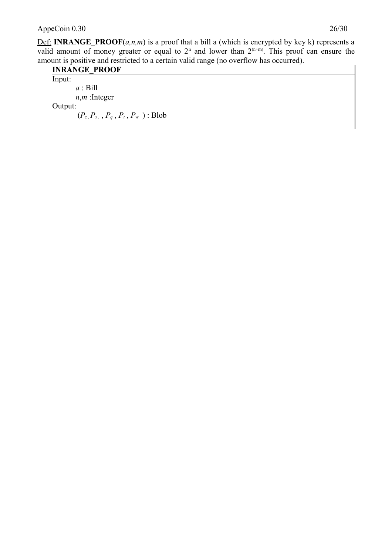# AppeCoin 0.30 26/30

Def: **INRANGE\_PROOF**(*a,n,m*) is a proof that a bill a (which is encrypted by key k) represents a valid amount of money greater or equal to  $2<sup>n</sup>$  and lower than  $2<sup>(n+m)</sup>$ . This proof can ensure the amount is positive and restricted to a certain valid range (no overflow has occurred).

| <b>INRANGE PROOF</b>                   |  |
|----------------------------------------|--|
| Input:                                 |  |
| $a:$ Bill                              |  |
| $n,m$ : Integer                        |  |
| [Output:                               |  |
| $(P_z, P_{s_1}, P_q, P_t, P_w)$ : Blob |  |
|                                        |  |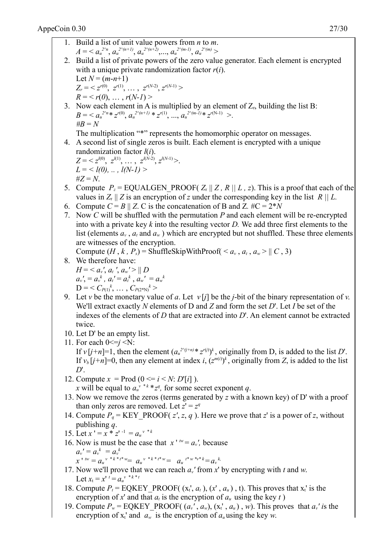\n- 1. Build a list of unit value powers from *n* to *m*.
\n- $$
A = a_n^{n-1}
$$
,  $a_n^{n-2m-1}$ ,  $a_n^{n-2m-2}$ ,  $a_n^{n-2m-2}$ ,  $a_n^{n-2m-2}$ ,  $a_n^{n-2m-2}$ ,  $a_n^{n-2m-2}$ ,  $a_n^{n-2m-2}$ ,  $a_n^{n-2m-2}$ ,  $a_n^{n-2m-2}$ ,  $a_n^{n-2m-2}$ ,  $a_n^{n-2m-2}$ ,  $a_n^{n-2m-2}$ ,  $a_n^{n-2m-2}$ ,  $a_n^{n-2m-2}$ ,  $a_n^{n-2m-2}$ ,  $a_n^{n-2m-2}$ ,  $a_n^{n-2m-2}$ ,  $a_n^{n-2m-2}$ ,  $a_n^{n-2m-2}$ ,  $a_n^{n-2m-2}$ ,  $a_n^{n-2m-2}$ ,  $a_n^{n-2m-2}$ ,  $a_n^{n-2m-2}$ ,  $a_n^{n-2m-2}$ ,  $a_n^{n-2m-2}$ .
\n- 1. In multiplication "<sup>4</sup>" represents the homomorphic operator on messages.
\n- 4. A second list of single zeros is built. Each element is encrypted with a unique random list of single zeros is built. Each element is encrypted with a unique random list of single zeros is built. Each element is encrypted with a unique random list of single zeros,  $a_n^{n-2m-2}$ .
\n- 5. Compute  $P = \text{EQUALGEN\_PROOT}(Z_n || Z, R || L, z)$ . This is a proof that each of the values with a private key *k* into the resulting vector *D*. We add three first elements of the corresponding key in the list *R* || L. Now *C* will be shuffled with the permutation *P* and each element will be re-enerpted into with *n* if  $a_n^{n-2} = a_n^{n-2}$ ,  $a_n^{n-2} = a_n^{n-2}$ , and  $a_n^{n-2} = a_n^{n-2}$ .
\n- 6. Compute  $(H, k, P_1) = \text{ShuffleSkiwWithProof} < a_n, a_n, a_n > ||C, 3)$ .
\n- 8. We therefore have:
\n- $H = \text{4} \cdot a_n$

19. Compute  $P_w = \text{EQKEY\_PROOF}( (a_v', a_w), (x_t', a_u), w)$ . This proves that  $a_v'$  is the encryption of  $x_t$ ' and  $a_w$  is the encryption of  $a_u$  using the key *w*.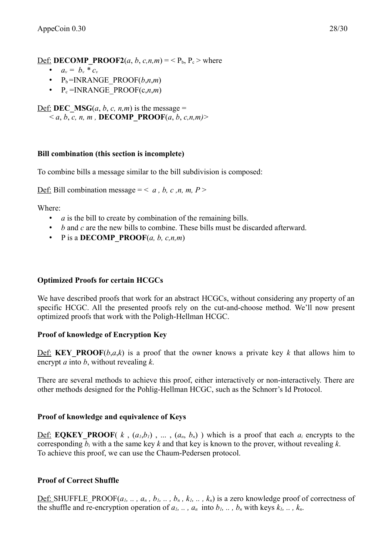Def: **DECOMP** PROOF2(*a*, *b*, *c*, *n*,*m*) = < P<sub>b</sub>, P<sub>c</sub> > where

- $a_v = b_v * c_v$
- $P_b = INRANGE PROOF(b,n,m)$
- $P_c = INRANGE PROOF(c, n, m)$

Def: **DEC MSG**(*a*, *b*, *c*, *n*,*m*) is the message =  $a, b, c, n, m$ , **DECOMP PROOF**(*a*, *b*, *c*,*n*,*m*)

# **Bill combination (this section is incomplete)**

To combine bills a message similar to the bill subdivision is composed:

Def: Bill combination message =  $\langle a, b, c, n, m, P \rangle$ 

Where:

- *a* is the bill to create by combination of the remaining bills.
- *b* and *c* are the new bills to combine. These bills must be discarded afterward.
- P is a **DECOMP PROOF** $(a, b, c, n, m)$

# **Optimized Proofs for certain HCGCs**

We have described proofs that work for an abstract HCGCs, without considering any property of an specific HCGC. All the presented proofs rely on the cut-and-choose method. We'll now present optimized proofs that work with the Poligh-Hellman HCGC.

# **Proof of knowledge of Encryption Key**

Def: **KEY** PROOF $(b, a, k)$  is a proof that the owner knows a private key *k* that allows him to encrypt *a* into *b*, without revealing *k*.

There are several methods to achieve this proof, either interactively or non-interactively. There are other methods designed for the Pohlig-Hellman HCGC, such as the Schnorr's Id Protocol.

# **Proof of knowledge and equivalence of Keys**

**Def: EQKEY PROOF**( $k$ ,  $(a_1, b_1)$ , ...,  $(a_n, b_n)$ ) which is a proof that each  $a_i$  encrypts to the corresponding *b<sup>i</sup>* with a the same key *k* and that key is known to the prover, without revealing *k*. To achieve this proof, we can use the Chaum-Pedersen protocol.

# **Proof of Correct Shuffle**

<u>Def:</u> SHUFFLE PROOF( $a_1$ , ...,  $a_n$ ,  $b_1$ , ...,  $b_n$ ,  $k_1$ , ...,  $k_n$ ) is a zero knowledge proof of correctness of the shuffle and re-encryption operation of  $a_1$ , ...,  $a_n$  into  $b_1$ , ...,  $b_n$  with keys  $k_1$ , ...,  $k_n$ .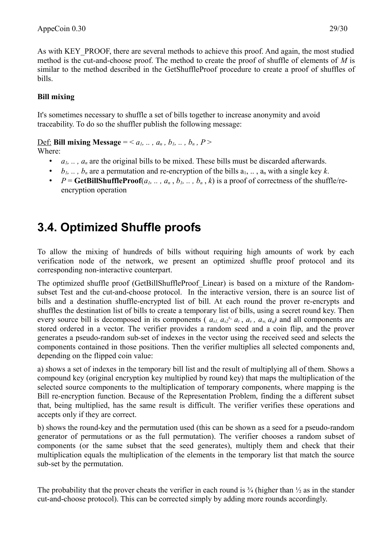As with KEY\_PROOF, there are several methods to achieve this proof. And again, the most studied method is the cut-and-choose proof. The method to create the proof of shuffle of elements of *M* is similar to the method described in the GetShuffleProof procedure to create a proof of shuffles of bills.

# **Bill mixing**

It's sometimes necessary to shuffle a set of bills together to increase anonymity and avoid traceability. To do so the shuffler publish the following message:

Def: Bill mixing Message = <  $a_1$ , ...,  $a_n$ ,  $b_1$ , ...,  $b_n$ ,  $P$  > Where:

- *a1, .. , an* are the original bills to be mixed. These bills must be discarded afterwards.
- *b*<sub>*i*</sub>, ..., *b<sub>n</sub>* are a permutation and re-encryption of the bills  $a_1, \ldots, a_n$  with a single key *k*.
- $P = \text{GetBillShuffleProof}(a_1, \ldots, a_n, b_1, \ldots, b_n, k)$  is a proof of correctness of the shuffle/reencryption operation

# **3.4. Optimized Shuffle proofs**

To allow the mixing of hundreds of bills without requiring high amounts of work by each verification node of the network, we present an optimized shuffle proof protocol and its corresponding non-interactive counterpart.

The optimized shuffle proof (GetBillShuffleProof Linear) is based on a mixture of the Randomsubset Test and the cut-and-choose protocol. In the interactive version, there is an source list of bills and a destination shuffle-encrypted list of bill. At each round the prover re-encrypts and shuffles the destination list of bills to create a temporary list of bills, using a secret round key. Then every source bill is decomposed in its components ( $a_{s1}, a_{s2}^{s}$ ,  $a_t, a_v, a_w, a_u$ ) and all components are stored ordered in a vector. The verifier provides a random seed and a coin flip, and the prover generates a pseudo-random sub-set of indexes in the vector using the received seed and selects the components contained in those positions. Then the verifier multiplies all selected components and, depending on the flipped coin value:

a) shows a set of indexes in the temporary bill list and the result of multiplying all of them. Shows a compound key (original encryption key multiplied by round key) that maps the multiplication of the selected source components to the multiplication of temporary components, where mapping is the Bill re-encryption function. Because of the Representation Problem, finding the a different subset that, being multiplied, has the same result is difficult. The verifier verifies these operations and accepts only if they are correct.

b) shows the round-key and the permutation used (this can be shown as a seed for a pseudo-random generator of permutations or as the full permutation). The verifier chooses a random subset of components (or the same subset that the seed generates), multiply them and check that their multiplication equals the multiplication of the elements in the temporary list that match the source sub-set by the permutation.

The probability that the prover cheats the verifier in each round is  $\frac{3}{4}$  (higher than  $\frac{1}{2}$  as in the stander cut-and-choose protocol). This can be corrected simply by adding more rounds accordingly.